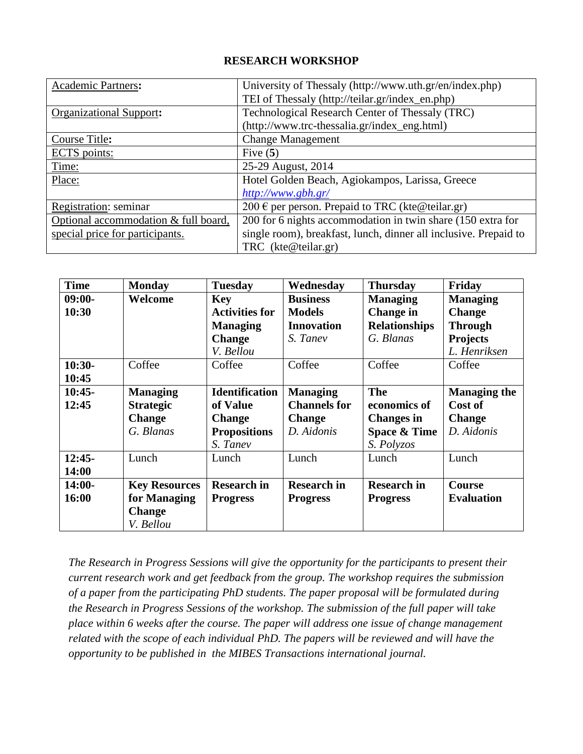## **RESEARCH WORKSHOP**

| <b>Academic Partners:</b>            | University of Thessaly (http://www.uth.gr/en/index.php)          |  |  |  |
|--------------------------------------|------------------------------------------------------------------|--|--|--|
|                                      | TEI of Thessaly (http://teilar.gr/index_en.php)                  |  |  |  |
| <b>Organizational Support:</b>       | Technological Research Center of Thessaly (TRC)                  |  |  |  |
|                                      | (http://www.trc-thessalia.gr/index_eng.html)                     |  |  |  |
| Course Title:                        | <b>Change Management</b>                                         |  |  |  |
| ECTS points:                         | Five $(5)$                                                       |  |  |  |
| Time:                                | 25-29 August, 2014                                               |  |  |  |
| Place:                               | Hotel Golden Beach, Agiokampos, Larissa, Greece                  |  |  |  |
|                                      | http://www.gbh.gr/                                               |  |  |  |
| Registration: seminar                | 200 € per person. Prepaid to TRC (kte@teilar.gr)                 |  |  |  |
| Optional accommodation & full board, | 200 for 6 nights accommodation in twin share (150 extra for      |  |  |  |
| special price for participants.      | single room), breakfast, lunch, dinner all inclusive. Prepaid to |  |  |  |
|                                      | TRC (kte@teilar.gr)                                              |  |  |  |

| <b>Time</b> | <b>Monday</b>        | <b>Tuesday</b>        | Wednesday           | <b>Thursday</b>         | Friday              |
|-------------|----------------------|-----------------------|---------------------|-------------------------|---------------------|
| $09:00-$    | Welcome              | <b>Key</b>            | <b>Business</b>     | <b>Managing</b>         | <b>Managing</b>     |
| 10:30       |                      | <b>Activities for</b> | <b>Models</b>       | <b>Change</b> in        | <b>Change</b>       |
|             |                      | <b>Managing</b>       | <b>Innovation</b>   | <b>Relationships</b>    | <b>Through</b>      |
|             |                      | <b>Change</b>         | S. Tanev            | G. Blanas               | <b>Projects</b>     |
|             |                      | V. Bellou             |                     |                         | L. Henriksen        |
| $10:30-$    | Coffee               | Coffee                | Coffee              | Coffee                  | Coffee              |
| 10:45       |                      |                       |                     |                         |                     |
| $10:45-$    | <b>Managing</b>      | <b>Identification</b> | <b>Managing</b>     | <b>The</b>              | <b>Managing the</b> |
| 12:45       | <b>Strategic</b>     | of Value              | <b>Channels</b> for | economics of            | Cost of             |
|             | <b>Change</b>        | <b>Change</b>         | <b>Change</b>       | <b>Changes</b> in       | <b>Change</b>       |
|             | G. Blanas            | <b>Propositions</b>   | D. Aidonis          | <b>Space &amp; Time</b> | D. Aidonis          |
|             |                      | S. Tanev              |                     | S. Polyzos              |                     |
| $12:45-$    | Lunch                | Lunch                 | Lunch               | Lunch                   | Lunch               |
| 14:00       |                      |                       |                     |                         |                     |
| $14:00-$    | <b>Key Resources</b> | <b>Research in</b>    | <b>Research in</b>  | <b>Research in</b>      | <b>Course</b>       |
| 16:00       | for Managing         | <b>Progress</b>       | <b>Progress</b>     | <b>Progress</b>         | <b>Evaluation</b>   |
|             | <b>Change</b>        |                       |                     |                         |                     |
|             | V. Bellou            |                       |                     |                         |                     |

*The Research in Progress Sessions will give the opportunity for the participants to present their current research work and get feedback from the group. The workshop requires the submission of a paper from the participating PhD students. The paper proposal will be formulated during the Research in Progress Sessions of the workshop. The submission of the full paper will take place within 6 weeks after the course. The paper will address one issue of change management related with the scope of each individual PhD. The papers will be reviewed and will have the opportunity to be published in the MIBES Transactions international journal.*